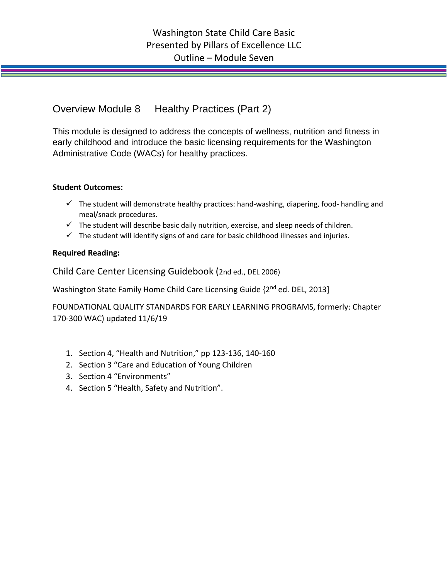Overview Module 8 Healthy Practices (Part 2)

This module is designed to address the concepts of wellness, nutrition and fitness in early childhood and introduce the basic licensing requirements for the Washington Administrative Code (WACs) for healthy practices.

## **Student Outcomes:**

- $\checkmark$  The student will demonstrate healthy practices: hand-washing, diapering, food- handling and meal/snack procedures.
- $\checkmark$  The student will describe basic daily nutrition, exercise, and sleep needs of children.
- $\checkmark$  The student will identify signs of and care for basic childhood illnesses and injuries.

## **Required Reading:**

Child Care Center Licensing Guidebook (2nd ed., DEL 2006)

Washington State Family Home Child Care Licensing Guide {2<sup>nd</sup> ed. DEL, 2013]

FOUNDATIONAL QUALITY STANDARDS FOR EARLY LEARNING PROGRAMS, formerly: Chapter 170-300 WAC) updated 11/6/19

- 1. Section 4, "Health and Nutrition," pp 123-136, 140-160
- 2. Section 3 "Care and Education of Young Children
- 3. Section 4 "Environments"
- 4. Section 5 "Health, Safety and Nutrition".